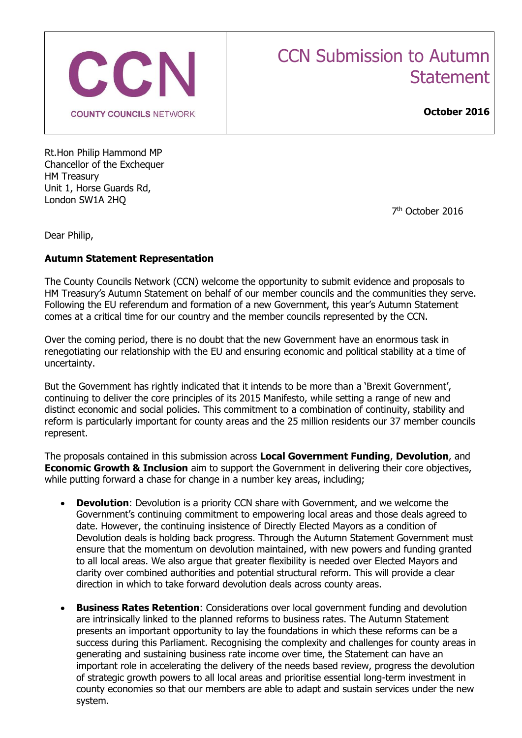

# CCN Submission to Autumn **Statement**

**October 2016**

Rt.Hon Philip Hammond MP Chancellor of the Exchequer HM Treasury Unit 1, Horse Guards Rd, London SW1A 2HQ

7 th October 2016

Dear Philip,

## **Autumn Statement Representation**

The County Councils Network (CCN) welcome the opportunity to submit evidence and proposals to HM Treasury's Autumn Statement on behalf of our member councils and the communities they serve. Following the EU referendum and formation of a new Government, this year's Autumn Statement comes at a critical time for our country and the member councils represented by the CCN.

Over the coming period, there is no doubt that the new Government have an enormous task in renegotiating our relationship with the EU and ensuring economic and political stability at a time of uncertainty.

But the Government has rightly indicated that it intends to be more than a 'Brexit Government', continuing to deliver the core principles of its 2015 Manifesto, while setting a range of new and distinct economic and social policies. This commitment to a combination of continuity, stability and reform is particularly important for county areas and the 25 million residents our 37 member councils represent.

The proposals contained in this submission across **Local Government Funding**, **Devolution**, and **Economic Growth & Inclusion** aim to support the Government in delivering their core objectives, while putting forward a chase for change in a number key areas, including;

- **Devolution**: Devolution is a priority CCN share with Government, and we welcome the Government's continuing commitment to empowering local areas and those deals agreed to date. However, the continuing insistence of Directly Elected Mayors as a condition of Devolution deals is holding back progress. Through the Autumn Statement Government must ensure that the momentum on devolution maintained, with new powers and funding granted to all local areas. We also argue that greater flexibility is needed over Elected Mayors and clarity over combined authorities and potential structural reform. This will provide a clear direction in which to take forward devolution deals across county areas.
- **Business Rates Retention**: Considerations over local government funding and devolution are intrinsically linked to the planned reforms to business rates. The Autumn Statement presents an important opportunity to lay the foundations in which these reforms can be a success during this Parliament. Recognising the complexity and challenges for county areas in generating and sustaining business rate income over time, the Statement can have an important role in accelerating the delivery of the needs based review, progress the devolution of strategic growth powers to all local areas and prioritise essential long-term investment in county economies so that our members are able to adapt and sustain services under the new system.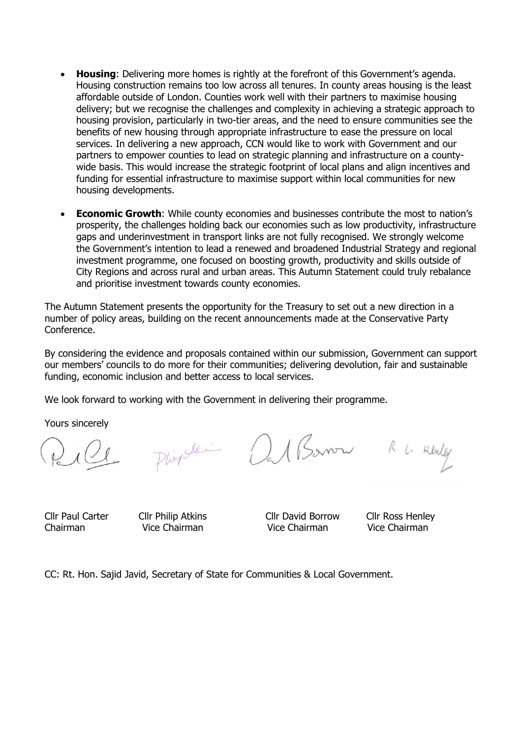- **Housing**: Delivering more homes is rightly at the forefront of this Government's agenda. Housing construction remains too low across all tenures. In county areas housing is the least affordable outside of London. Counties work well with their partners to maximise housing delivery; but we recognise the challenges and complexity in achieving a strategic approach to housing provision, particularly in two-tier areas, and the need to ensure communities see the benefits of new housing through appropriate infrastructure to ease the pressure on local services. In delivering a new approach, CCN would like to work with Government and our partners to empower counties to lead on strategic planning and infrastructure on a countywide basis. This would increase the strategic footprint of local plans and align incentives and funding for essential infrastructure to maximise support within local communities for new housing developments.
- **Economic Growth**: While county economies and businesses contribute the most to nation's prosperity, the challenges holding back our economies such as low productivity, infrastructure gaps and underinvestment in transport links are not fully recognised. We strongly welcome the Government's intention to lead a renewed and broadened Industrial Strategy and regional investment programme, one focused on boosting growth, productivity and skills outside of City Regions and across rural and urban areas. This Autumn Statement could truly rebalance and prioritise investment towards county economies.

The Autumn Statement presents the opportunity for the Treasury to set out a new direction in a number of policy areas, building on the recent announcements made at the Conservative Party Conference.

By considering the evidence and proposals contained within our submission, Government can support our members' councils to do more for their communities; delivering devolution, fair and sustainable funding, economic inclusion and better access to local services.

We look forward to working with the Government in delivering their programme.

Yours sincerely

Plingle Dat Barrow R. L. Henley

Cllr Paul Carter Cllr Philip Atkins Cllr David Borrow Cllr Ross Henley

Chairman Vice Chairman Vice Chairman Vice Chairman

CC: Rt. Hon. Sajid Javid, Secretary of State for Communities & Local Government.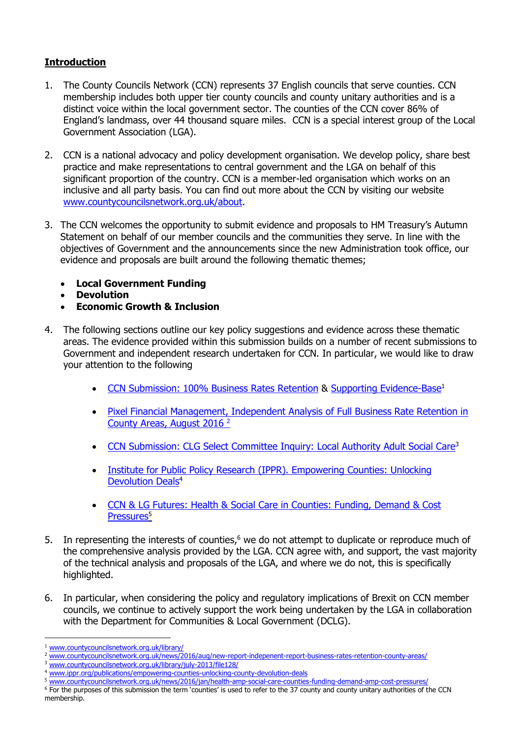# **Introduction**

- 1. The County Councils Network (CCN) represents 37 English councils that serve counties. CCN membership includes both upper tier county councils and county unitary authorities and is a distinct voice within the local government sector. The counties of the CCN cover 86% of England's landmass, over 44 thousand square miles. CCN is a special interest group of the Local Government Association (LGA).
- 2. CCN is a national advocacy and policy development organisation. We develop policy, share best practice and make representations to central government and the LGA on behalf of this significant proportion of the country. CCN is a member-led organisation which works on an inclusive and all party basis. You can find out more about the CCN by visiting our website [www.countycouncilsnetwork.org.uk/about.](http://www.countycouncilsnetwork.org.uk/about)
- 3. The CCN welcomes the opportunity to submit evidence and proposals to HM Treasury's Autumn Statement on behalf of our member councils and the communities they serve. In line with the objectives of Government and the announcements since the new Administration took office, our evidence and proposals are built around the following thematic themes;
	- **Local Government Funding**
	- **Devolution**
	- **Economic Growth & Inclusion**
- 4. The following sections outline our key policy suggestions and evidence across these thematic areas. The evidence provided within this submission builds on a number of recent submissions to Government and independent research undertaken for CCN. In particular, we would like to draw your attention to the following
	- [CCN Submission: 100% Business Rates Retention](http://www.countycouncilsnetwork.org.uk/library/july-2013/file129/) & [Supporting Evidence-Base](http://www.countycouncilsnetwork.org.uk/library/july-2013/file130/)<sup>1</sup>
	- [Pixel Financial Management, Independent Analysis of Full Business Rate Retention in](http://www.countycouncilsnetwork.org.uk/news/2016/aug/new-report-indepenent-report-business-rates-retention-county-areas/)  [County Areas, August 2016](http://www.countycouncilsnetwork.org.uk/news/2016/aug/new-report-indepenent-report-business-rates-retention-county-areas/) <sup>2</sup>
	- [CCN Submission: CLG Select Committee Inquiry: Local Authority Adult Social Care](http://www.countycouncilsnetwork.org.uk/library/july-2013/file128/)<sup>3</sup>
	- [Institute for Public Policy Research \(IPPR\).](http://www.ippr.org/publications/empowering-counties-unlocking-county-devolution-deals) Empowering Counties: Unlocking [Devolution Deals](http://www.ippr.org/publications/empowering-counties-unlocking-county-devolution-deals)<sup>4</sup>
	- [CCN & LG Futures: Health & Social Care in Counties: Funding, Demand](http://www.countycouncilsnetwork.org.uk/news/2016/jan/health-amp-social-care-counties-funding-demand-amp-cost-pressures/) & Cost [Pressures](http://www.countycouncilsnetwork.org.uk/news/2016/jan/health-amp-social-care-counties-funding-demand-amp-cost-pressures/)<sup>5</sup>
- 5. In representing the interests of counties,<sup>6</sup> we do not attempt to duplicate or reproduce much of the comprehensive analysis provided by the LGA. CCN agree with, and support, the vast majority of the technical analysis and proposals of the LGA, and where we do not, this is specifically highlighted.
- 6. In particular, when considering the policy and regulatory implications of Brexit on CCN member councils, we continue to actively support the work being undertaken by the LGA in collaboration with the Department for Communities & Local Government (DCLG).

[www.countycouncilsnetwork.org.uk/library/](http://www.countycouncilsnetwork.org.uk/library/)

<sup>&</sup>lt;sup>2</sup> [www.countycouncilsnetwork.org.uk/news/2016/aug/new-report-indepenent-report-business-rates-retention-county-areas/](http://www.countycouncilsnetwork.org.uk/news/2016/aug/new-report-indepenent-report-business-rates-retention-county-areas/)

<sup>3</sup> [www.countycouncilsnetwork.org.uk/library/july-2013/file128/](http://www.countycouncilsnetwork.org.uk/library/july-2013/file128/)

<sup>4</sup> [www.ippr.org/publications/empowering-counties-unlocking-county-devolution-deals](http://www.ippr.org/publications/empowering-counties-unlocking-county-devolution-deals)

<sup>5</sup> [www.countycouncilsnetwork.org.uk/news/2016/jan/health-amp-social-care-counties-funding-demand-amp-cost-pressures/](http://www.countycouncilsnetwork.org.uk/news/2016/jan/health-amp-social-care-counties-funding-demand-amp-cost-pressures/)

<sup>6</sup> For the purposes of this submission the term 'counties' is used to refer to the 37 county and county unitary authorities of the CCN membership.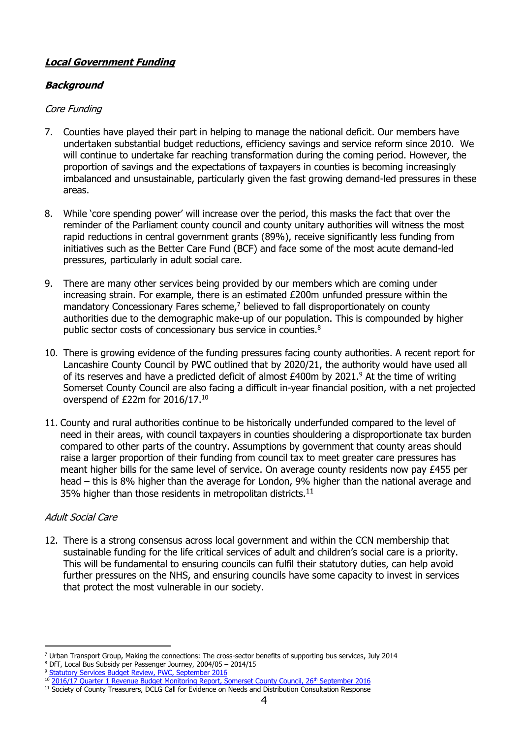# **Local Government Funding**

# **Background**

## Core Funding

- 7. Counties have played their part in helping to manage the national deficit. Our members have undertaken substantial budget reductions, efficiency savings and service reform since 2010. We will continue to undertake far reaching transformation during the coming period. However, the proportion of savings and the expectations of taxpayers in counties is becoming increasingly imbalanced and unsustainable, particularly given the fast growing demand-led pressures in these areas.
- 8. While 'core spending power' will increase over the period, this masks the fact that over the reminder of the Parliament county council and county unitary authorities will witness the most rapid reductions in central government grants (89%), receive significantly less funding from initiatives such as the Better Care Fund (BCF) and face some of the most acute demand-led pressures, particularly in adult social care.
- 9. There are many other services being provided by our members which are coming under increasing strain. For example, there is an estimated £200m unfunded pressure within the mandatory Concessionary Fares scheme,<sup>7</sup> believed to fall disproportionately on county authorities due to the demographic make-up of our population. This is compounded by higher public sector costs of concessionary bus service in counties.<sup>8</sup>
- 10. There is growing evidence of the funding pressures facing county authorities. A recent report for Lancashire County Council by PWC outlined that by 2020/21, the authority would have used all of its reserves and have a predicted deficit of almost  $£400m$  by  $2021<sup>9</sup>$  At the time of writing Somerset County Council are also facing a difficult in-year financial position, with a net projected overspend of £22m for 2016/17.<sup>10</sup>
- 11. County and rural authorities continue to be historically underfunded compared to the level of need in their areas, with council taxpayers in counties shouldering a disproportionate tax burden compared to other parts of the country. Assumptions by government that county areas should raise a larger proportion of their funding from council tax to meet greater care pressures has meant higher bills for the same level of service. On average county residents now pay £455 per head – this is 8% higher than the average for London, 9% higher than the national average and 35% higher than those residents in metropolitan districts.<sup>11</sup>

# Adult Social Care

12. There is a strong consensus across local government and within the CCN membership that sustainable funding for the life critical services of adult and children's social care is a priority. This will be fundamental to ensuring councils can fulfil their statutory duties, can help avoid further pressures on the NHS, and ensuring councils have some capacity to invest in services that protect the most vulnerable in our society.

<sup>-</sup><sup>7</sup> Urban Transport Group, Making the connections: The cross-sector benefits of supporting bus services, July 2014

<sup>8</sup> DfT, Local Bus Subsidy per Passenger Journey, 2004/05 – 2014/15

<sup>&</sup>lt;sup>9</sup> Statutory Services [Budget Review, PWC, September 2016](http://council.lancashire.gov.uk/documents/s96917/Appendix%20A%20SSBR%20Interim%20Report%20FINAL.pdf)

<sup>&</sup>lt;sup>10</sup> [2016/17 Quarter 1 Revenue Budget Monitoring Report, Somerset County Council, 26](http://www1.somerset.gov.uk/council/board3d/web%20upload%20260916/2016%20September%2026%20Item%2010%20Paper%20F%20Revenue%20Budget%20Monitoring%20Q1%202016%2017.pdf)<sup>th</sup> September 2016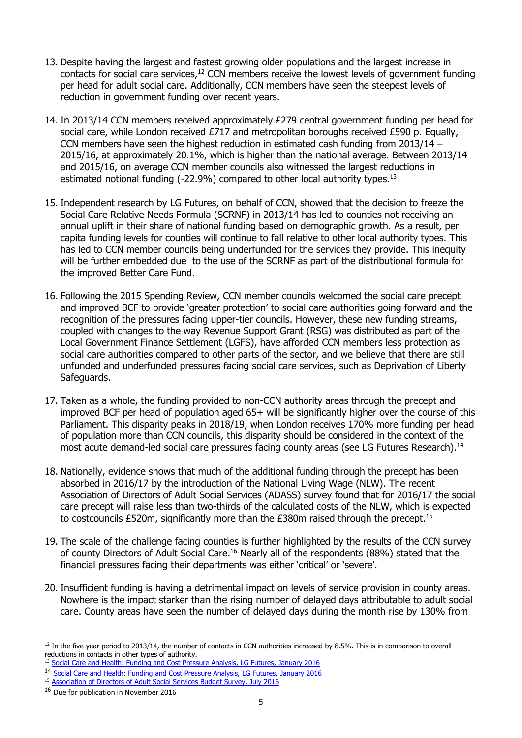- 13. Despite having the largest and fastest growing older populations and the largest increase in contacts for social care services, <sup>12</sup> CCN members receive the lowest levels of government funding per head for adult social care. Additionally, CCN members have seen the steepest levels of reduction in government funding over recent years.
- 14. In 2013/14 CCN members received approximately £279 central government funding per head for social care, while London received £717 and metropolitan boroughs received £590 p. Equally, CCN members have seen the highest reduction in estimated cash funding from 2013/14 – 2015/16, at approximately 20.1%, which is higher than the national average. Between 2013/14 and 2015/16, on average CCN member councils also witnessed the largest reductions in estimated notional funding (-22.9%) compared to other local authority types.<sup>13</sup>
- 15. Independent research by LG Futures, on behalf of CCN, showed that the decision to freeze the Social Care Relative Needs Formula (SCRNF) in 2013/14 has led to counties not receiving an annual uplift in their share of national funding based on demographic growth. As a result, per capita funding levels for counties will continue to fall relative to other local authority types. This has led to CCN member councils being underfunded for the services they provide. This inequity will be further embedded due to the use of the SCRNF as part of the distributional formula for the improved Better Care Fund.
- 16. Following the 2015 Spending Review, CCN member councils welcomed the social care precept and improved BCF to provide 'greater protection' to social care authorities going forward and the recognition of the pressures facing upper-tier councils. However, these new funding streams, coupled with changes to the way Revenue Support Grant (RSG) was distributed as part of the Local Government Finance Settlement (LGFS), have afforded CCN members less protection as social care authorities compared to other parts of the sector, and we believe that there are still unfunded and underfunded pressures facing social care services, such as Deprivation of Liberty Safeguards.
- 17. Taken as a whole, the funding provided to non-CCN authority areas through the precept and improved BCF per head of population aged 65+ will be significantly higher over the course of this Parliament. This disparity peaks in 2018/19, when London receives 170% more funding per head of population more than CCN councils, this disparity should be considered in the context of the most acute demand-led social care pressures facing county areas (see LG Futures Research).<sup>14</sup>
- 18. Nationally, evidence shows that much of the additional funding through the precept has been absorbed in 2016/17 by the introduction of the National Living Wage (NLW). The recent Association of Directors of Adult Social Services (ADASS) survey found that for 2016/17 the social care precept will raise less than two-thirds of the calculated costs of the NLW, which is expected to costcouncils £520m, significantly more than the  $£380m$  raised through the precept.<sup>15</sup>
- 19. The scale of the challenge facing counties is further highlighted by the results of the CCN survey of county Directors of Adult Social Care.<sup>16</sup> Nearly all of the respondents (88%) stated that the financial pressures facing their departments was either 'critical' or 'severe'.
- 20. Insufficient funding is having a detrimental impact on levels of service provision in county areas. Nowhere is the impact starker than the rising number of delayed days attributable to adult social care. County areas have seen the number of delayed days during the month rise by 130% from

<sup>-</sup> $12$  In the five-year period to 2013/14, the number of contacts in CCN authorities increased by 8.5%. This is in comparison to overall reductions in contacts in other types of authority.

<sup>&</sup>lt;sup>13</sup> Social Care and Health: Funding and Cost [Pressure Analysis, LG Futures, January 2016](http://www.countycouncilsnetwork.org.uk/assets/legacy/getasset?id=fAAzADQANgB8AHwAVAByAHUAZQB8AHwAMAB8AA2)

<sup>14</sup> [Social Care and Health: Funding and Cost Pressure Analysis, LG Futures, January 2016](http://www.countycouncilsnetwork.org.uk/assets/legacy/getasset?id=fAAzADQANgB8AHwAVAByAHUAZQB8AHwAMAB8AA2)

<sup>&</sup>lt;sup>15</sup> [Association of Directors of Adult Social Services Budget Survey, July 2016](https://www.adass.org.uk/media/5379/adass-budget-survey-report-2016.pdf)

<sup>&</sup>lt;sup>16</sup> Due for publication in November 2016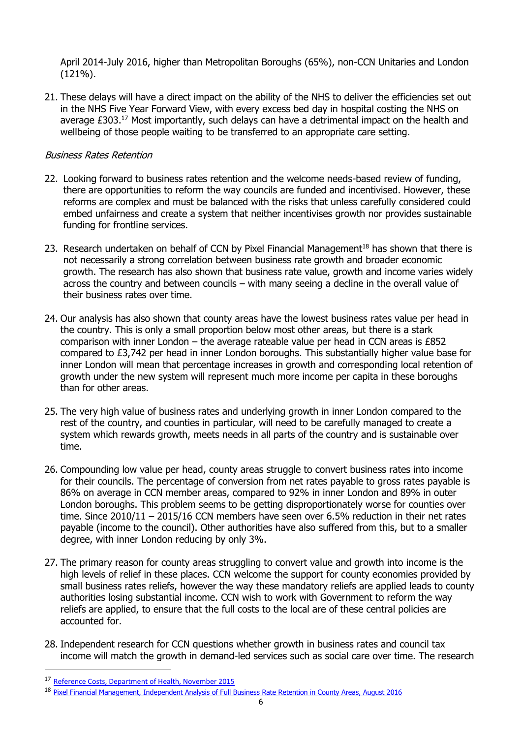April 2014-July 2016, higher than Metropolitan Boroughs (65%), non-CCN Unitaries and London (121%).

21. These delays will have a direct impact on the ability of the NHS to deliver the efficiencies set out in the NHS Five Year Forward View, with every excess bed day in hospital costing the NHS on average £303.<sup>17</sup> Most importantly, such delays can have a detrimental impact on the health and wellbeing of those people waiting to be transferred to an appropriate care setting.

#### Business Rates Retention

- 22. Looking forward to business rates retention and the welcome needs-based review of funding, there are opportunities to reform the way councils are funded and incentivised. However, these reforms are complex and must be balanced with the risks that unless carefully considered could embed unfairness and create a system that neither incentivises growth nor provides sustainable funding for frontline services.
- 23. Research undertaken on behalf of CCN by Pixel Financial Management<sup>18</sup> has shown that there is not necessarily a strong correlation between business rate growth and broader economic growth. The research has also shown that business rate value, growth and income varies widely across the country and between councils – with many seeing a decline in the overall value of their business rates over time.
- 24. Our analysis has also shown that county areas have the lowest business rates value per head in the country. This is only a small proportion below most other areas, but there is a stark comparison with inner London – the average rateable value per head in CCN areas is  $£852$ compared to £3,742 per head in inner London boroughs. This substantially higher value base for inner London will mean that percentage increases in growth and corresponding local retention of growth under the new system will represent much more income per capita in these boroughs than for other areas.
- 25. The very high value of business rates and underlying growth in inner London compared to the rest of the country, and counties in particular, will need to be carefully managed to create a system which rewards growth, meets needs in all parts of the country and is sustainable over time.
- 26. Compounding low value per head, county areas struggle to convert business rates into income for their councils. The percentage of conversion from net rates payable to gross rates payable is 86% on average in CCN member areas, compared to 92% in inner London and 89% in outer London boroughs. This problem seems to be getting disproportionately worse for counties over time. Since 2010/11 – 2015/16 CCN members have seen over 6.5% reduction in their net rates payable (income to the council). Other authorities have also suffered from this, but to a smaller degree, with inner London reducing by only 3%.
- 27. The primary reason for county areas struggling to convert value and growth into income is the high levels of relief in these places. CCN welcome the support for county economies provided by small business rates reliefs, however the way these mandatory reliefs are applied leads to county authorities losing substantial income. CCN wish to work with Government to reform the way reliefs are applied, to ensure that the full costs to the local are of these central policies are accounted for.
- 28. Independent research for CCN questions whether growth in business rates and council tax income will match the growth in demand-led services such as social care over time. The research

<sup>17</sup> [Reference Costs, Department of Health, November 2015](https://www.gov.uk/government/uploads/system/uploads/attachment_data/file/477919/2014-15_Reference_costs_publication.pdf)

<sup>18</sup> [Pixel Financial Management, Independent Analysis of Full Business Rate Retention in County Areas, August 2016](http://www.countycouncilsnetwork.org.uk/news/2016/aug/new-report-indepenent-report-business-rates-retention-county-areas/)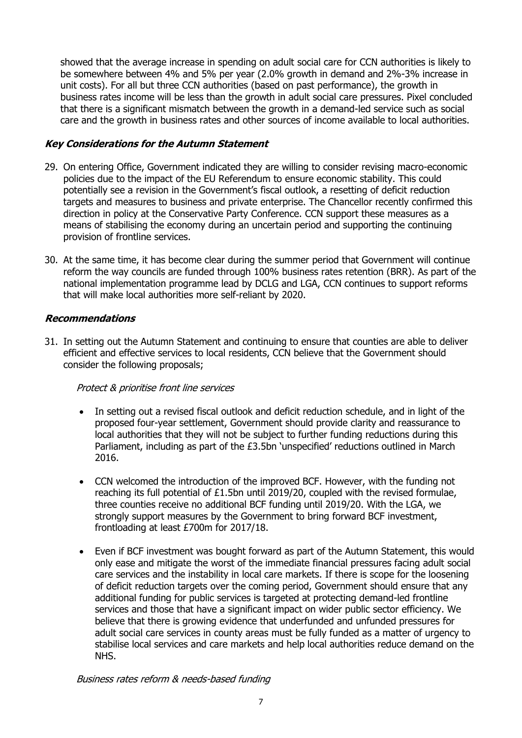showed that the average increase in spending on adult social care for CCN authorities is likely to be somewhere between 4% and 5% per year (2.0% growth in demand and 2%-3% increase in unit costs). For all but three CCN authorities (based on past performance), the growth in business rates income will be less than the growth in adult social care pressures. Pixel concluded that there is a significant mismatch between the growth in a demand-led service such as social care and the growth in business rates and other sources of income available to local authorities.

## **Key Considerations for the Autumn Statement**

- 29. On entering Office, Government indicated they are willing to consider revising macro-economic policies due to the impact of the EU Referendum to ensure economic stability. This could potentially see a revision in the Government's fiscal outlook, a resetting of deficit reduction targets and measures to business and private enterprise. The Chancellor recently confirmed this direction in policy at the Conservative Party Conference. CCN support these measures as a means of stabilising the economy during an uncertain period and supporting the continuing provision of frontline services.
- 30. At the same time, it has become clear during the summer period that Government will continue reform the way councils are funded through 100% business rates retention (BRR). As part of the national implementation programme lead by DCLG and LGA, CCN continues to support reforms that will make local authorities more self-reliant by 2020.

## **Recommendations**

31. In setting out the Autumn Statement and continuing to ensure that counties are able to deliver efficient and effective services to local residents, CCN believe that the Government should consider the following proposals;

## Protect & prioritise front line services

- In setting out a revised fiscal outlook and deficit reduction schedule, and in light of the proposed four-year settlement, Government should provide clarity and reassurance to local authorities that they will not be subject to further funding reductions during this Parliament, including as part of the £3.5bn 'unspecified' reductions outlined in March 2016.
- CCN welcomed the introduction of the improved BCF. However, with the funding not reaching its full potential of £1.5bn until 2019/20, coupled with the revised formulae, three counties receive no additional BCF funding until 2019/20. With the LGA, we strongly support measures by the Government to bring forward BCF investment, frontloading at least £700m for 2017/18.
- Even if BCF investment was bought forward as part of the Autumn Statement, this would only ease and mitigate the worst of the immediate financial pressures facing adult social care services and the instability in local care markets. If there is scope for the loosening of deficit reduction targets over the coming period, Government should ensure that any additional funding for public services is targeted at protecting demand-led frontline services and those that have a significant impact on wider public sector efficiency. We believe that there is growing evidence that underfunded and unfunded pressures for adult social care services in county areas must be fully funded as a matter of urgency to stabilise local services and care markets and help local authorities reduce demand on the NHS.

Business rates reform & needs-based funding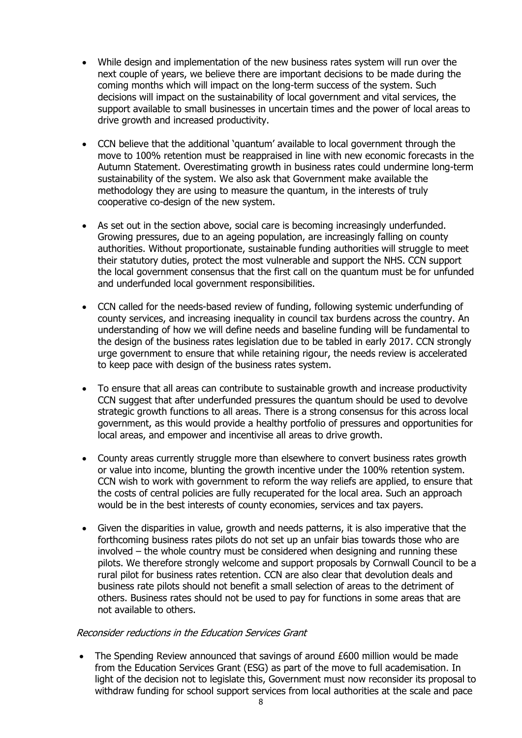- While design and implementation of the new business rates system will run over the next couple of years, we believe there are important decisions to be made during the coming months which will impact on the long-term success of the system. Such decisions will impact on the sustainability of local government and vital services, the support available to small businesses in uncertain times and the power of local areas to drive growth and increased productivity.
- CCN believe that the additional 'quantum' available to local government through the move to 100% retention must be reappraised in line with new economic forecasts in the Autumn Statement. Overestimating growth in business rates could undermine long-term sustainability of the system. We also ask that Government make available the methodology they are using to measure the quantum, in the interests of truly cooperative co-design of the new system.
- As set out in the section above, social care is becoming increasingly underfunded. Growing pressures, due to an ageing population, are increasingly falling on county authorities. Without proportionate, sustainable funding authorities will struggle to meet their statutory duties, protect the most vulnerable and support the NHS. CCN support the local government consensus that the first call on the quantum must be for unfunded and underfunded local government responsibilities.
- CCN called for the needs-based review of funding, following systemic underfunding of county services, and increasing inequality in council tax burdens across the country. An understanding of how we will define needs and baseline funding will be fundamental to the design of the business rates legislation due to be tabled in early 2017. CCN strongly urge government to ensure that while retaining rigour, the needs review is accelerated to keep pace with design of the business rates system.
- To ensure that all areas can contribute to sustainable growth and increase productivity CCN suggest that after underfunded pressures the quantum should be used to devolve strategic growth functions to all areas. There is a strong consensus for this across local government, as this would provide a healthy portfolio of pressures and opportunities for local areas, and empower and incentivise all areas to drive growth.
- County areas currently struggle more than elsewhere to convert business rates growth or value into income, blunting the growth incentive under the 100% retention system. CCN wish to work with government to reform the way reliefs are applied, to ensure that the costs of central policies are fully recuperated for the local area. Such an approach would be in the best interests of county economies, services and tax payers.
- Given the disparities in value, growth and needs patterns, it is also imperative that the forthcoming business rates pilots do not set up an unfair bias towards those who are involved – the whole country must be considered when designing and running these pilots. We therefore strongly welcome and support proposals by Cornwall Council to be a rural pilot for business rates retention. CCN are also clear that devolution deals and business rate pilots should not benefit a small selection of areas to the detriment of others. Business rates should not be used to pay for functions in some areas that are not available to others.

#### Reconsider reductions in the Education Services Grant

 The Spending Review announced that savings of around £600 million would be made from the Education Services Grant (ESG) as part of the move to full academisation. In light of the decision not to legislate this, Government must now reconsider its proposal to withdraw funding for school support services from local authorities at the scale and pace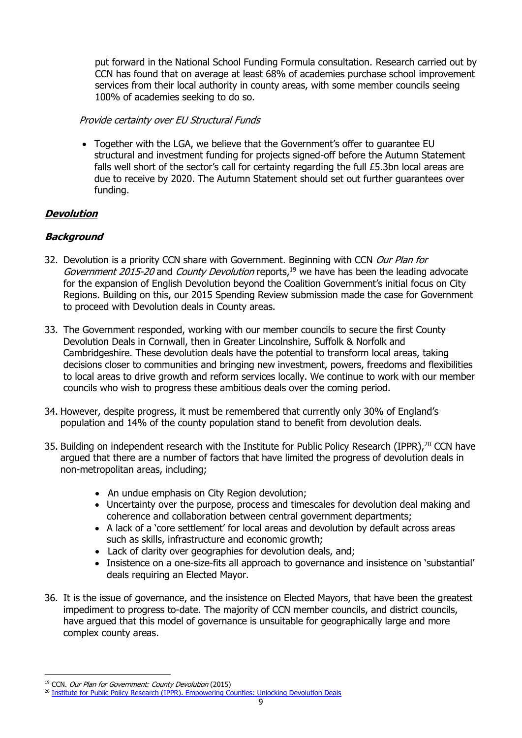put forward in the National School Funding Formula consultation. Research carried out by CCN has found that on average at least 68% of academies purchase school improvement services from their local authority in county areas, with some member councils seeing 100% of academies seeking to do so.

#### Provide certainty over EU Structural Funds

 Together with the LGA, we believe that the Government's offer to guarantee EU structural and investment funding for projects signed-off before the Autumn Statement falls well short of the sector's call for certainty regarding the full £5.3bn local areas are due to receive by 2020. The Autumn Statement should set out further guarantees over funding.

## **Devolution**

## **Background**

- 32. Devolution is a priority CCN share with Government. Beginning with CCN Our Plan for Government 2015-20 and County Devolution reports,<sup>19</sup> we have has been the leading advocate for the expansion of English Devolution beyond the Coalition Government's initial focus on City Regions. Building on this, our 2015 Spending Review submission made the case for Government to proceed with Devolution deals in County areas.
- 33. The Government responded, working with our member councils to secure the first County Devolution Deals in Cornwall, then in Greater Lincolnshire, Suffolk & Norfolk and Cambridgeshire. These devolution deals have the potential to transform local areas, taking decisions closer to communities and bringing new investment, powers, freedoms and flexibilities to local areas to drive growth and reform services locally. We continue to work with our member councils who wish to progress these ambitious deals over the coming period.
- 34. However, despite progress, it must be remembered that currently only 30% of England's population and 14% of the county population stand to benefit from devolution deals.
- 35. Building on independent research with the Institute for Public Policy Research (IPPR), <sup>20</sup> CCN have argued that there are a number of factors that have limited the progress of devolution deals in non-metropolitan areas, including;
	- An undue emphasis on City Region devolution;
	- Uncertainty over the purpose, process and timescales for devolution deal making and coherence and collaboration between central government departments;
	- A lack of a 'core settlement' for local areas and devolution by default across areas such as skills, infrastructure and economic growth;
	- Lack of clarity over geographies for devolution deals, and;
	- Insistence on a one-size-fits all approach to governance and insistence on 'substantial' deals requiring an Elected Mayor.
- 36. It is the issue of governance, and the insistence on Elected Mayors, that have been the greatest impediment to progress to-date. The majority of CCN member councils, and district councils, have argued that this model of governance is unsuitable for geographically large and more complex county areas.

<sup>&</sup>lt;sup>19</sup> CCN. Our Plan for Government: County Devolution (2015)

<sup>&</sup>lt;sup>20</sup> [Institute for Public Policy Research \(IPPR\). Empowering Counties: Unlocking Devolution Deals](http://www.ippr.org/publications/empowering-counties-unlocking-county-devolution-deals)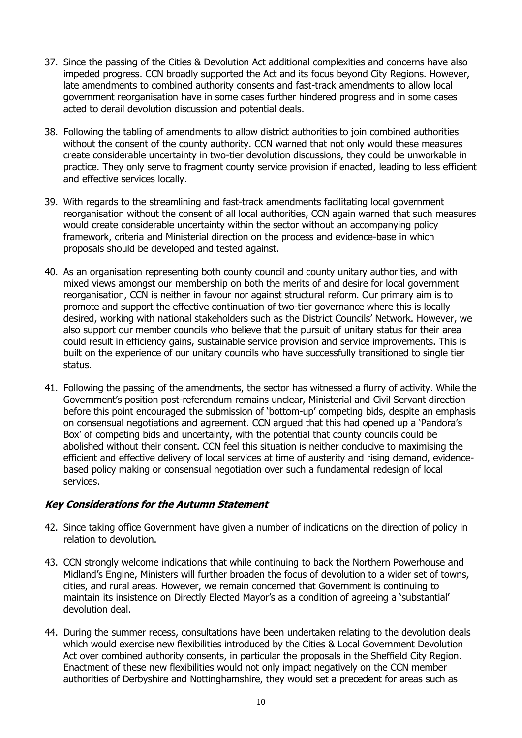- 37. Since the passing of the Cities & Devolution Act additional complexities and concerns have also impeded progress. CCN broadly supported the Act and its focus beyond City Regions. However, late amendments to combined authority consents and fast-track amendments to allow local government reorganisation have in some cases further hindered progress and in some cases acted to derail devolution discussion and potential deals.
- 38. Following the tabling of amendments to allow district authorities to join combined authorities without the consent of the county authority. CCN warned that not only would these measures create considerable uncertainty in two-tier devolution discussions, they could be unworkable in practice. They only serve to fragment county service provision if enacted, leading to less efficient and effective services locally.
- 39. With regards to the streamlining and fast-track amendments facilitating local government reorganisation without the consent of all local authorities, CCN again warned that such measures would create considerable uncertainty within the sector without an accompanying policy framework, criteria and Ministerial direction on the process and evidence-base in which proposals should be developed and tested against.
- 40. As an organisation representing both county council and county unitary authorities, and with mixed views amongst our membership on both the merits of and desire for local government reorganisation, CCN is neither in favour nor against structural reform. Our primary aim is to promote and support the effective continuation of two-tier governance where this is locally desired, working with national stakeholders such as the District Councils' Network. However, we also support our member councils who believe that the pursuit of unitary status for their area could result in efficiency gains, sustainable service provision and service improvements. This is built on the experience of our unitary councils who have successfully transitioned to single tier status.
- 41. Following the passing of the amendments, the sector has witnessed a flurry of activity. While the Government's position post-referendum remains unclear, Ministerial and Civil Servant direction before this point encouraged the submission of 'bottom-up' competing bids, despite an emphasis on consensual negotiations and agreement. CCN argued that this had opened up a 'Pandora's Box' of competing bids and uncertainty, with the potential that county councils could be abolished without their consent. CCN feel this situation is neither conducive to maximising the efficient and effective delivery of local services at time of austerity and rising demand, evidencebased policy making or consensual negotiation over such a fundamental redesign of local services.

## **Key Considerations for the Autumn Statement**

- 42. Since taking office Government have given a number of indications on the direction of policy in relation to devolution.
- 43. CCN strongly welcome indications that while continuing to back the Northern Powerhouse and Midland's Engine, Ministers will further broaden the focus of devolution to a wider set of towns, cities, and rural areas. However, we remain concerned that Government is continuing to maintain its insistence on Directly Elected Mayor's as a condition of agreeing a 'substantial' devolution deal.
- 44. During the summer recess, consultations have been undertaken relating to the devolution deals which would exercise new flexibilities introduced by the Cities & Local Government Devolution Act over combined authority consents, in particular the proposals in the Sheffield City Region. Enactment of these new flexibilities would not only impact negatively on the CCN member authorities of Derbyshire and Nottinghamshire, they would set a precedent for areas such as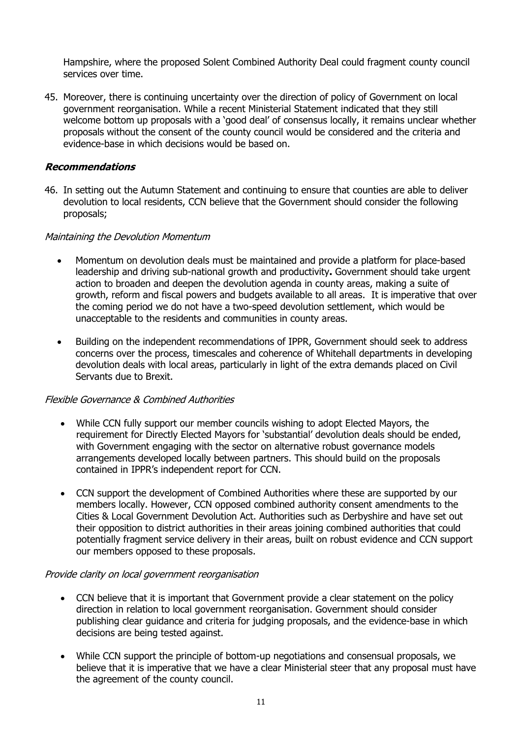Hampshire, where the proposed Solent Combined Authority Deal could fragment county council services over time.

45. Moreover, there is continuing uncertainty over the direction of policy of Government on local government reorganisation. While a recent Ministerial Statement indicated that they still welcome bottom up proposals with a 'good deal' of consensus locally, it remains unclear whether proposals without the consent of the county council would be considered and the criteria and evidence-base in which decisions would be based on.

#### **Recommendations**

46. In setting out the Autumn Statement and continuing to ensure that counties are able to deliver devolution to local residents, CCN believe that the Government should consider the following proposals;

#### Maintaining the Devolution Momentum

- Momentum on devolution deals must be maintained and provide a platform for place-based leadership and driving sub-national growth and productivity**.** Government should take urgent action to broaden and deepen the devolution agenda in county areas, making a suite of growth, reform and fiscal powers and budgets available to all areas. It is imperative that over the coming period we do not have a two-speed devolution settlement, which would be unacceptable to the residents and communities in county areas.
- Building on the independent recommendations of IPPR, Government should seek to address concerns over the process, timescales and coherence of Whitehall departments in developing devolution deals with local areas, particularly in light of the extra demands placed on Civil Servants due to Brexit.

#### Flexible Governance & Combined Authorities

- While CCN fully support our member councils wishing to adopt Elected Mayors, the requirement for Directly Elected Mayors for 'substantial' devolution deals should be ended, with Government engaging with the sector on alternative robust governance models arrangements developed locally between partners. This should build on the proposals contained in IPPR's independent report for CCN.
- CCN support the development of Combined Authorities where these are supported by our members locally. However, CCN opposed combined authority consent amendments to the Cities & Local Government Devolution Act. Authorities such as Derbyshire and have set out their opposition to district authorities in their areas joining combined authorities that could potentially fragment service delivery in their areas, built on robust evidence and CCN support our members opposed to these proposals.

#### Provide clarity on local government reorganisation

- CCN believe that it is important that Government provide a clear statement on the policy direction in relation to local government reorganisation. Government should consider publishing clear guidance and criteria for judging proposals, and the evidence-base in which decisions are being tested against.
- While CCN support the principle of bottom-up negotiations and consensual proposals, we believe that it is imperative that we have a clear Ministerial steer that any proposal must have the agreement of the county council.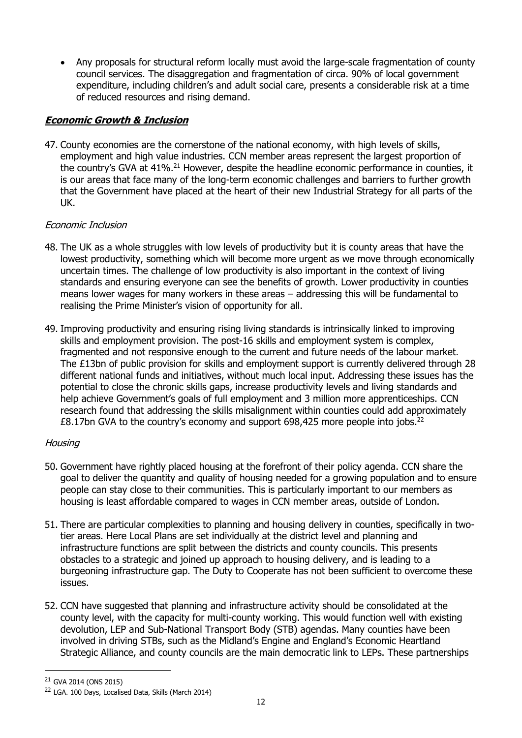Any proposals for structural reform locally must avoid the large-scale fragmentation of county council services. The disaggregation and fragmentation of circa. 90% of local government expenditure, including children's and adult social care, presents a considerable risk at a time of reduced resources and rising demand.

# **Economic Growth & Inclusion**

47. County economies are the cornerstone of the national economy, with high levels of skills, employment and high value industries. CCN member areas represent the largest proportion of the country's GVA at 41%.<sup>21</sup> However, despite the headline economic performance in counties, it is our areas that face many of the long-term economic challenges and barriers to further growth that the Government have placed at the heart of their new Industrial Strategy for all parts of the UK.

# Economic Inclusion

- 48. The UK as a whole struggles with low levels of productivity but it is county areas that have the lowest productivity, something which will become more urgent as we move through economically uncertain times. The challenge of low productivity is also important in the context of living standards and ensuring everyone can see the benefits of growth. Lower productivity in counties means lower wages for many workers in these areas – addressing this will be fundamental to realising the Prime Minister's vision of opportunity for all.
- 49. Improving productivity and ensuring rising living standards is intrinsically linked to improving skills and employment provision. The post-16 skills and employment system is complex, fragmented and not responsive enough to the current and future needs of the labour market. The £13bn of public provision for skills and employment support is currently delivered through 28 different national funds and initiatives, without much local input. Addressing these issues has the potential to close the chronic skills gaps, increase productivity levels and living standards and help achieve Government's goals of full employment and 3 million more apprenticeships. CCN research found that addressing the skills misalignment within counties could add approximately £8.17bn GVA to the country's economy and support 698,425 more people into jobs.<sup>22</sup>

## Housing

- 50. Government have rightly placed housing at the forefront of their policy agenda. CCN share the goal to deliver the quantity and quality of housing needed for a growing population and to ensure people can stay close to their communities. This is particularly important to our members as housing is least affordable compared to wages in CCN member areas, outside of London.
- 51. There are particular complexities to planning and housing delivery in counties, specifically in twotier areas. Here Local Plans are set individually at the district level and planning and infrastructure functions are split between the districts and county councils. This presents obstacles to a strategic and joined up approach to housing delivery, and is leading to a burgeoning infrastructure gap. The Duty to Cooperate has not been sufficient to overcome these issues.
- 52. CCN have suggested that planning and infrastructure activity should be consolidated at the county level, with the capacity for multi-county working. This would function well with existing devolution, LEP and Sub-National Transport Body (STB) agendas. Many counties have been involved in driving STBs, such as the Midland's Engine and England's Economic Heartland Strategic Alliance, and county councils are the main democratic link to LEPs. These partnerships

<sup>21</sup> GVA 2014 (ONS 2015)

<sup>&</sup>lt;sup>22</sup> LGA. 100 Days, Localised Data, Skills (March 2014)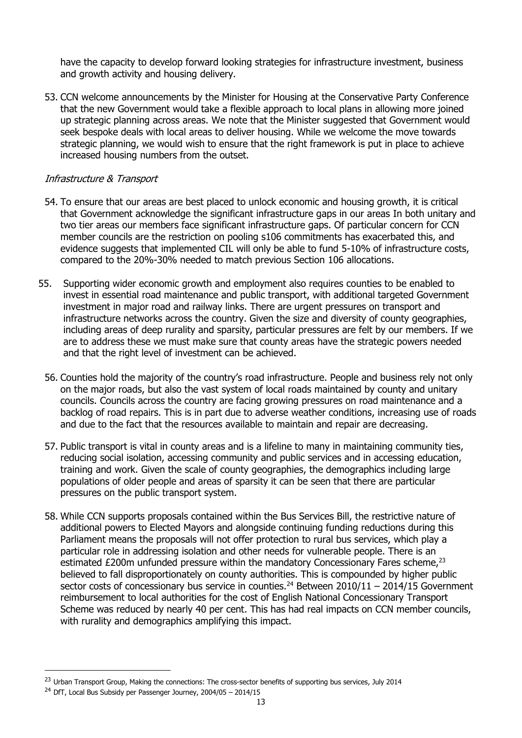have the capacity to develop forward looking strategies for infrastructure investment, business and growth activity and housing delivery.

53. CCN welcome announcements by the Minister for Housing at the Conservative Party Conference that the new Government would take a flexible approach to local plans in allowing more joined up strategic planning across areas. We note that the Minister suggested that Government would seek bespoke deals with local areas to deliver housing. While we welcome the move towards strategic planning, we would wish to ensure that the right framework is put in place to achieve increased housing numbers from the outset.

## Infrastructure & Transport

- 54. To ensure that our areas are best placed to unlock economic and housing growth, it is critical that Government acknowledge the significant infrastructure gaps in our areas In both unitary and two tier areas our members face significant infrastructure gaps. Of particular concern for CCN member councils are the restriction on pooling s106 commitments has exacerbated this, and evidence suggests that implemented CIL will only be able to fund 5-10% of infrastructure costs, compared to the 20%-30% needed to match previous Section 106 allocations.
- 55. Supporting wider economic growth and employment also requires counties to be enabled to invest in essential road maintenance and public transport, with additional targeted Government investment in major road and railway links. There are urgent pressures on transport and infrastructure networks across the country. Given the size and diversity of county geographies, including areas of deep rurality and sparsity, particular pressures are felt by our members. If we are to address these we must make sure that county areas have the strategic powers needed and that the right level of investment can be achieved.
	- 56. Counties hold the majority of the country's road infrastructure. People and business rely not only on the major roads, but also the vast system of local roads maintained by county and unitary councils. Councils across the country are facing growing pressures on road maintenance and a backlog of road repairs. This is in part due to adverse weather conditions, increasing use of roads and due to the fact that the resources available to maintain and repair are decreasing.
	- 57. Public transport is vital in county areas and is a lifeline to many in maintaining community ties, reducing social isolation, accessing community and public services and in accessing education, training and work. Given the scale of county geographies, the demographics including large populations of older people and areas of sparsity it can be seen that there are particular pressures on the public transport system.
	- 58. While CCN supports proposals contained within the Bus Services Bill, the restrictive nature of additional powers to Elected Mayors and alongside continuing funding reductions during this Parliament means the proposals will not offer protection to rural bus services, which play a particular role in addressing isolation and other needs for vulnerable people. There is an estimated  $£200m$  unfunded pressure within the mandatory Concessionary Fares scheme.<sup>23</sup> believed to fall disproportionately on county authorities. This is compounded by higher public sector costs of concessionary bus service in counties.<sup>24</sup> Between  $2010/11 - 2014/15$  Government reimbursement to local authorities for the cost of English National Concessionary Transport Scheme was reduced by nearly 40 per cent. This has had real impacts on CCN member councils, with rurality and demographics amplifying this impact.

<sup>&</sup>lt;sup>23</sup> Urban Transport Group, Making the connections: The cross-sector benefits of supporting bus services, July 2014

 $^{24}$  DfT, Local Bus Subsidy per Passenger Journey, 2004/05 – 2014/15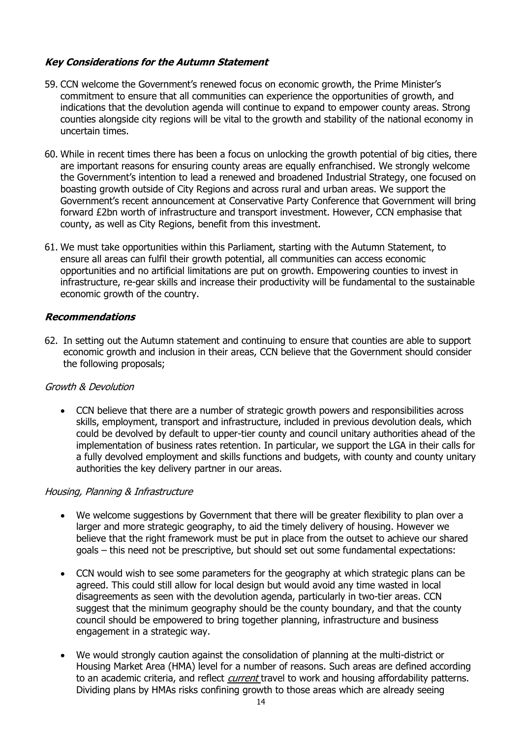## **Key Considerations for the Autumn Statement**

- 59. CCN welcome the Government's renewed focus on economic growth, the Prime Minister's commitment to ensure that all communities can experience the opportunities of growth, and indications that the devolution agenda will continue to expand to empower county areas. Strong counties alongside city regions will be vital to the growth and stability of the national economy in uncertain times.
- 60. While in recent times there has been a focus on unlocking the growth potential of big cities, there are important reasons for ensuring county areas are equally enfranchised. We strongly welcome the Government's intention to lead a renewed and broadened Industrial Strategy, one focused on boasting growth outside of City Regions and across rural and urban areas. We support the Government's recent announcement at Conservative Party Conference that Government will bring forward £2bn worth of infrastructure and transport investment. However, CCN emphasise that county, as well as City Regions, benefit from this investment.
- 61. We must take opportunities within this Parliament, starting with the Autumn Statement, to ensure all areas can fulfil their growth potential, all communities can access economic opportunities and no artificial limitations are put on growth. Empowering counties to invest in infrastructure, re-gear skills and increase their productivity will be fundamental to the sustainable economic growth of the country.

## **Recommendations**

62. In setting out the Autumn statement and continuing to ensure that counties are able to support economic growth and inclusion in their areas, CCN believe that the Government should consider the following proposals;

#### Growth & Devolution

 CCN believe that there are a number of strategic growth powers and responsibilities across skills, employment, transport and infrastructure, included in previous devolution deals, which could be devolved by default to upper-tier county and council unitary authorities ahead of the implementation of business rates retention. In particular, we support the LGA in their calls for a fully devolved employment and skills functions and budgets, with county and county unitary authorities the key delivery partner in our areas.

#### Housing, Planning & Infrastructure

- We welcome suggestions by Government that there will be greater flexibility to plan over a larger and more strategic geography, to aid the timely delivery of housing. However we believe that the right framework must be put in place from the outset to achieve our shared goals – this need not be prescriptive, but should set out some fundamental expectations:
- CCN would wish to see some parameters for the geography at which strategic plans can be agreed. This could still allow for local design but would avoid any time wasted in local disagreements as seen with the devolution agenda, particularly in two-tier areas. CCN suggest that the minimum geography should be the county boundary, and that the county council should be empowered to bring together planning, infrastructure and business engagement in a strategic way.
- We would strongly caution against the consolidation of planning at the multi-district or Housing Market Area (HMA) level for a number of reasons. Such areas are defined according to an academic criteria, and reflect *current* travel to work and housing affordability patterns. Dividing plans by HMAs risks confining growth to those areas which are already seeing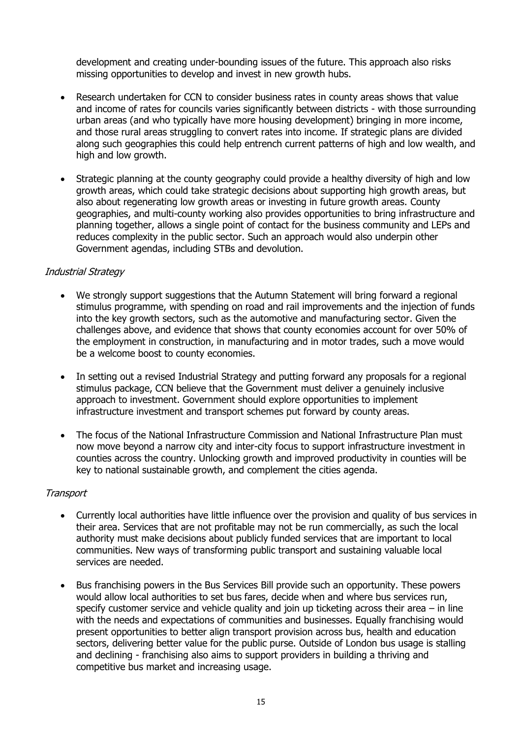development and creating under-bounding issues of the future. This approach also risks missing opportunities to develop and invest in new growth hubs.

- Research undertaken for CCN to consider business rates in county areas shows that value and income of rates for councils varies significantly between districts - with those surrounding urban areas (and who typically have more housing development) bringing in more income, and those rural areas struggling to convert rates into income. If strategic plans are divided along such geographies this could help entrench current patterns of high and low wealth, and high and low growth.
- Strategic planning at the county geography could provide a healthy diversity of high and low growth areas, which could take strategic decisions about supporting high growth areas, but also about regenerating low growth areas or investing in future growth areas. County geographies, and multi-county working also provides opportunities to bring infrastructure and planning together, allows a single point of contact for the business community and LEPs and reduces complexity in the public sector. Such an approach would also underpin other Government agendas, including STBs and devolution.

## Industrial Strategy

- We strongly support suggestions that the Autumn Statement will bring forward a regional stimulus programme, with spending on road and rail improvements and the injection of funds into the key growth sectors, such as the automotive and manufacturing sector. Given the challenges above, and evidence that shows that county economies account for over 50% of the employment in construction, in manufacturing and in motor trades, such a move would be a welcome boost to county economies.
- In setting out a revised Industrial Strategy and putting forward any proposals for a regional stimulus package, CCN believe that the Government must deliver a genuinely inclusive approach to investment. Government should explore opportunities to implement infrastructure investment and transport schemes put forward by county areas.
- The focus of the National Infrastructure Commission and National Infrastructure Plan must now move beyond a narrow city and inter-city focus to support infrastructure investment in counties across the country. Unlocking growth and improved productivity in counties will be key to national sustainable growth, and complement the cities agenda.

#### **Transport**

- Currently local authorities have little influence over the provision and quality of bus services in their area. Services that are not profitable may not be run commercially, as such the local authority must make decisions about publicly funded services that are important to local communities. New ways of transforming public transport and sustaining valuable local services are needed.
- Bus franchising powers in the Bus Services Bill provide such an opportunity. These powers would allow local authorities to set bus fares, decide when and where bus services run, specify customer service and vehicle quality and join up ticketing across their area  $-$  in line with the needs and expectations of communities and businesses. Equally franchising would present opportunities to better align transport provision across bus, health and education sectors, delivering better value for the public purse. Outside of London bus usage is stalling and declining - franchising also aims to support providers in building a thriving and competitive bus market and increasing usage.